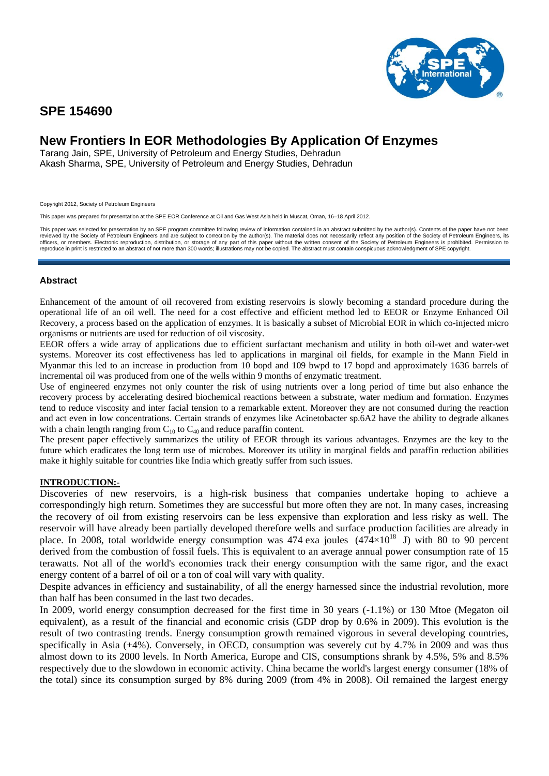

## **SPE 154690**

# **New Frontiers In EOR Methodologies By Application Of Enzymes**

Tarang Jain, SPE, University of Petroleum and Energy Studies, Dehradun Akash Sharma, SPE, University of Petroleum and Energy Studies, Dehradun

Copyright 2012, Society of Petroleum Engineers

This paper was prepared for presentation at the SPE EOR Conference at Oil and Gas West Asia held in Muscat, Oman, 16–18 April 2012.

This paper was selected for presentation by an SPE program committee following review of information contained in an abstract submitted by the author(s). Contents of the paper have not been reviewed by the Society of Petroleum Engineers and are subject to correction by the author(s). The material does not necessarily reflect any position of the Society of Petroleum Engineers, its<br>officers, or members. Electro reproduce in print is restricted to an abstract of not more than 300 words; illustrations may not be copied. The abstract must contain conspicuous acknowledgment of SPE copyright.

#### **Abstract**

Enhancement of the amount of oil recovered from existing reservoirs is slowly becoming a standard procedure during the operational life of an oil well. The need for a cost effective and efficient method led to EEOR or Enzyme Enhanced Oil Recovery, a process based on the application of enzymes. It is basically a subset of Microbial EOR in which co-injected micro organisms or nutrients are used for reduction of oil viscosity.

EEOR offers a wide array of applications due to efficient surfactant mechanism and utility in both oil-wet and water-wet systems. Moreover its cost effectiveness has led to applications in marginal oil fields, for example in the Mann Field in Myanmar this led to an increase in production from 10 bopd and 109 bwpd to 17 bopd and approximately 1636 barrels of incremental oil was produced from one of the wells within 9 months of enzymatic treatment.

Use of engineered enzymes not only counter the risk of using nutrients over a long period of time but also enhance the recovery process by accelerating desired biochemical reactions between a substrate, water medium and formation. Enzymes tend to reduce viscosity and inter facial tension to a remarkable extent. Moreover they are not consumed during the reaction and act even in low concentrations. Certain strands of enzymes like Acinetobacter sp.6A2 have the ability to degrade alkanes with a chain length ranging from  $C_{10}$  to  $C_{40}$  and reduce paraffin content.

The present paper effectively summarizes the utility of EEOR through its various advantages. Enzymes are the key to the future which eradicates the long term use of microbes. Moreover its utility in marginal fields and paraffin reduction abilities make it highly suitable for countries like India which greatly suffer from such issues.

#### **INTRODUCTION:-**

Discoveries of new reservoirs, is a high-risk business that companies undertake hoping to achieve a correspondingly high return. Sometimes they are successful but more often they are not. In many cases, increasing the recovery of oil from existing reservoirs can be less expensive than exploration and less risky as well. The reservoir will have already been partially developed therefore wells and surface production facilities are already in place. In 2008, total worldwide energy consumption was 474 exa joules  $(474\times10^{18}$  J) with 80 to 90 percent derived from the combustion of fossil fuels. This is equivalent to an average annual power consumption rate of 15 terawatts. Not all of the world's economies track their energy consumption with the same rigor, and the exact energy content of a barrel of oil or a ton of coal will vary with quality.

Despite advances in efficiency and sustainability, of all the energy harnessed since the industrial revolution, more than half has been consumed in the last two decades.

In 2009, world energy consumption decreased for the first time in 30 years (-1.1%) or 130 Mtoe (Megaton oil equivalent), as a result of the financial and economic crisis (GDP drop by 0.6% in 2009). This evolution is the result of two contrasting trends. Energy consumption growth remained vigorous in several developing countries, specifically in Asia (+4%). Conversely, in OECD, consumption was severely cut by 4.7% in 2009 and was thus almost down to its 2000 levels. In North America, Europe and CIS, consumptions shrank by 4.5%, 5% and 8.5% respectively due to the slowdown in economic activity. China became the world's largest energy consumer (18% of the total) since its consumption surged by 8% during 2009 (from 4% in 2008). Oil remained the largest energy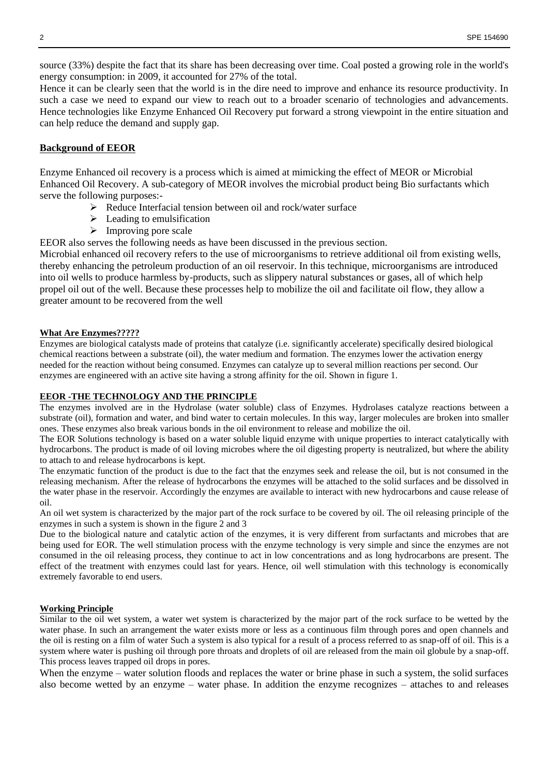source (33%) despite the fact that its share has been decreasing over time. Coal posted a growing role in the world's energy consumption: in 2009, it accounted for 27% of the total.

Hence it can be clearly seen that the world is in the dire need to improve and enhance its resource productivity. In such a case we need to expand our view to reach out to a broader scenario of technologies and advancements. Hence technologies like Enzyme Enhanced Oil Recovery put forward a strong viewpoint in the entire situation and can help reduce the demand and supply gap.

## **Background of EEOR**

Enzyme Enhanced oil recovery is a process which is aimed at mimicking the effect of MEOR or Microbial Enhanced Oil Recovery. A sub-category of MEOR involves the microbial product being Bio surfactants which serve the following purposes:-

- $\triangleright$  Reduce Interfacial tension between oil and rock/water surface
- $\blacktriangleright$  Leading to emulsification
- $\triangleright$  Improving pore scale

EEOR also serves the following needs as have been discussed in the previous section.

Microbial enhanced oil recovery refers to the use of microorganisms to retrieve additional oil from existing wells, thereby enhancing the petroleum production of an oil reservoir. In this technique, microorganisms are introduced into oil wells to produce harmless by-products, such as slippery natural substances or gases, all of which help propel oil out of the well. Because these processes help to mobilize the oil and facilitate oil flow, they allow a greater amount to be recovered from the well

## **What Are Enzymes?????**

Enzymes are biological catalysts made of proteins that catalyze (i.e. significantly accelerate) specifically desired biological chemical reactions between a substrate (oil), the water medium and formation. The enzymes lower the activation energy needed for the reaction without being consumed. Enzymes can catalyze up to several million reactions per second. Our enzymes are engineered with an active site having a strong affinity for the oil. Shown in figure 1.

## **EEOR -THE TECHNOLOGY AND THE PRINCIPLE**

The enzymes involved are in the Hydrolase (water soluble) class of Enzymes. Hydrolases catalyze reactions between a substrate (oil), formation and water, and bind water to certain molecules. In this way, larger molecules are broken into smaller ones. These enzymes also break various bonds in the oil environment to release and mobilize the oil.

The EOR Solutions technology is based on a water soluble liquid enzyme with unique properties to interact catalytically with hydrocarbons. The product is made of oil loving microbes where the oil digesting property is neutralized, but where the ability to attach to and release hydrocarbons is kept.

The enzymatic function of the product is due to the fact that the enzymes seek and release the oil, but is not consumed in the releasing mechanism. After the release of hydrocarbons the enzymes will be attached to the solid surfaces and be dissolved in the water phase in the reservoir. Accordingly the enzymes are available to interact with new hydrocarbons and cause release of oil.

An oil wet system is characterized by the major part of the rock surface to be covered by oil. The oil releasing principle of the enzymes in such a system is shown in the figure 2 and 3

Due to the biological nature and catalytic action of the enzymes, it is very different from surfactants and microbes that are being used for EOR. The well stimulation process with the enzyme technology is very simple and since the enzymes are not consumed in the oil releasing process, they continue to act in low concentrations and as long hydrocarbons are present. The effect of the treatment with enzymes could last for years. Hence, oil well stimulation with this technology is economically extremely favorable to end users.

#### **Working Principle**

Similar to the oil wet system, a water wet system is characterized by the major part of the rock surface to be wetted by the water phase. In such an arrangement the water exists more or less as a continuous film through pores and open channels and the oil is resting on a film of water Such a system is also typical for a result of a process referred to as snap-off of oil. This is a system where water is pushing oil through pore throats and droplets of oil are released from the main oil globule by a snap-off. This process leaves trapped oil drops in pores.

When the enzyme – water solution floods and replaces the water or brine phase in such a system, the solid surfaces also become wetted by an enzyme – water phase. In addition the enzyme recognizes – attaches to and releases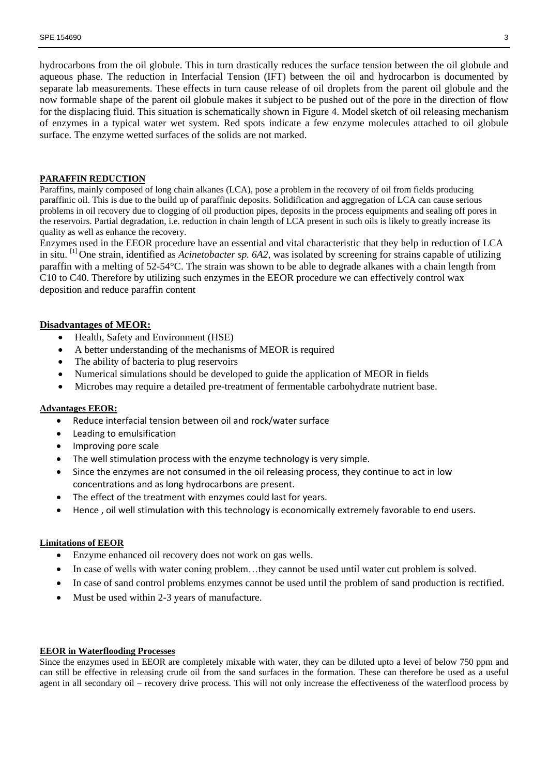hydrocarbons from the oil globule. This in turn drastically reduces the surface tension between the oil globule and aqueous phase. The reduction in Interfacial Tension (IFT) between the oil and hydrocarbon is documented by separate lab measurements. These effects in turn cause release of oil droplets from the parent oil globule and the now formable shape of the parent oil globule makes it subject to be pushed out of the pore in the direction of flow for the displacing fluid. This situation is schematically shown in Figure 4. Model sketch of oil releasing mechanism of enzymes in a typical water wet system. Red spots indicate a few enzyme molecules attached to oil globule surface. The enzyme wetted surfaces of the solids are not marked.

## **PARAFFIN REDUCTION**

Paraffins, mainly composed of long chain alkanes (LCA), pose a problem in the recovery of oil from fields producing paraffinic oil. This is due to the build up of paraffinic deposits. Solidification and aggregation of LCA can cause serious problems in oil recovery due to clogging of oil production pipes, deposits in the process equipments and sealing off pores in the reservoirs. Partial degradation, i.e. reduction in chain length of LCA present in such oils is likely to greatly increase its quality as well as enhance the recovery.

Enzymes used in the EEOR procedure have an essential and vital characteristic that they help in reduction of LCA in situ. [1] One strain, identified as *Acinetobacter sp. 6A2,* was isolated by screening for strains capable of utilizing paraffin with a melting of 52-54°C. The strain was shown to be able to degrade alkanes with a chain length from C10 to C40. Therefore by utilizing such enzymes in the EEOR procedure we can effectively control wax deposition and reduce paraffin content

#### **Disadvantages of MEOR:**

- Health, Safety and Environment (HSE)
- A better understanding of the mechanisms of MEOR is required
- The ability of bacteria to plug reservoirs
- Numerical simulations should be developed to guide the application of MEOR in fields
- Microbes may require a detailed pre-treatment of fermentable carbohydrate nutrient base.

#### **Advantages EEOR:**

- Reduce interfacial tension between oil and rock/water surface
- Leading to emulsification
- Improving pore scale
- The well stimulation process with the enzyme technology is very simple.
- Since the enzymes are not consumed in the oil releasing process, they continue to act in low concentrations and as long hydrocarbons are present.
- The effect of the treatment with enzymes could last for years.
- Hence , oil well stimulation with this technology is economically extremely favorable to end users.

#### **Limitations of EEOR**

- Enzyme enhanced oil recovery does not work on gas wells.
- In case of wells with water coning problem…they cannot be used until water cut problem is solved.
- In case of sand control problems enzymes cannot be used until the problem of sand production is rectified.
- Must be used within 2-3 years of manufacture.

#### **EEOR in Waterflooding Processes**

Since the enzymes used in EEOR are completely mixable with water, they can be diluted upto a level of below 750 ppm and can still be effective in releasing crude oil from the sand surfaces in the formation. These can therefore be used as a useful agent in all secondary oil – recovery drive process. This will not only increase the effectiveness of the waterflood process by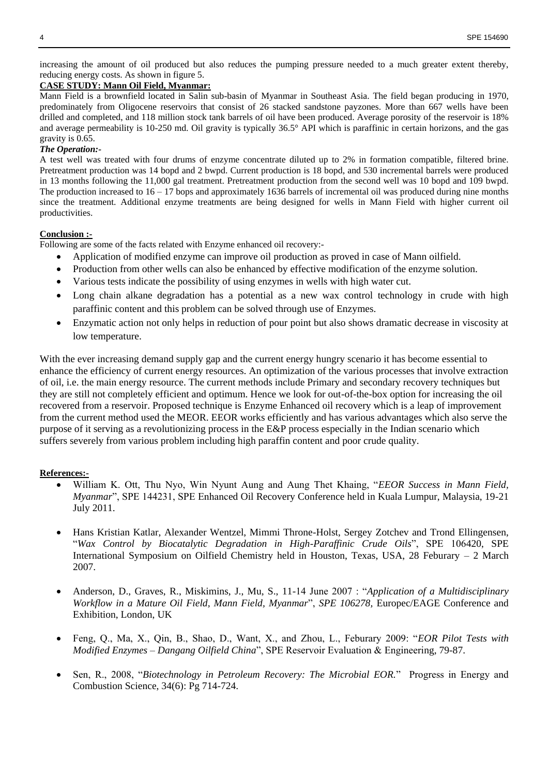increasing the amount of oil produced but also reduces the pumping pressure needed to a much greater extent thereby, reducing energy costs. As shown in figure 5.

## **CASE STUDY: Mann Oil Field, Myanmar:**

Mann Field is a brownfield located in Salin sub-basin of Myanmar in Southeast Asia. The field began producing in 1970, predominately from Oligocene reservoirs that consist of 26 stacked sandstone payzones. More than 667 wells have been drilled and completed, and 118 million stock tank barrels of oil have been produced. Average porosity of the reservoir is 18% and average permeability is 10-250 md. Oil gravity is typically 36.5° API which is paraffinic in certain horizons, and the gas gravity is 0.65.

#### *The Operation:-*

A test well was treated with four drums of enzyme concentrate diluted up to 2% in formation compatible, filtered brine. Pretreatment production was 14 bopd and 2 bwpd. Current production is 18 bopd, and 530 incremental barrels were produced in 13 months following the 11,000 gal treatment. Pretreatment production from the second well was 10 bopd and 109 bwpd. The production increased to  $16 - 17$  bops and approximately 1636 barrels of incremental oil was produced during nine months since the treatment. Additional enzyme treatments are being designed for wells in Mann Field with higher current oil productivities.

#### **Conclusion :-**

Following are some of the facts related with Enzyme enhanced oil recovery:-

- Application of modified enzyme can improve oil production as proved in case of Mann oilfield.
- Production from other wells can also be enhanced by effective modification of the enzyme solution.
- Various tests indicate the possibility of using enzymes in wells with high water cut.
- Long chain alkane degradation has a potential as a new wax control technology in crude with high paraffinic content and this problem can be solved through use of Enzymes.
- Enzymatic action not only helps in reduction of pour point but also shows dramatic decrease in viscosity at low temperature.

With the ever increasing demand supply gap and the current energy hungry scenario it has become essential to enhance the efficiency of current energy resources. An optimization of the various processes that involve extraction of oil, i.e. the main energy resource. The current methods include Primary and secondary recovery techniques but they are still not completely efficient and optimum. Hence we look for out-of-the-box option for increasing the oil recovered from a reservoir. Proposed technique is Enzyme Enhanced oil recovery which is a leap of improvement from the current method used the MEOR. EEOR works efficiently and has various advantages which also serve the purpose of it serving as a revolutionizing process in the E&P process especially in the Indian scenario which suffers severely from various problem including high paraffin content and poor crude quality.

#### **References:-**

- William K. Ott, Thu Nyo, Win Nyunt Aung and Aung Thet Khaing, "*EEOR Success in Mann Field, Myanmar*", SPE 144231, SPE Enhanced Oil Recovery Conference held in Kuala Lumpur, Malaysia, 19-21 July 2011.
- Hans Kristian Katlar, Alexander Wentzel, Mimmi Throne-Holst, Sergey Zotchev and Trond Ellingensen, "*Wax Control by Biocatalytic Degradation in High-Paraffinic Crude Oils*", SPE 106420, SPE International Symposium on Oilfield Chemistry held in Houston, Texas, USA, 28 Feburary – 2 March 2007.
- Anderson, D., Graves, R., Miskimins, J., Mu, S., 11-14 June 2007 : "*Application of a Multidisciplinary Workflow in a Mature Oil Field, Mann Field, Myanmar*", *SPE 106278,* Europec/EAGE Conference and Exhibition, London, UK
- Feng, Q., Ma, X., Qin, B., Shao, D., Want, X., and Zhou, L., Feburary 2009: "*EOR Pilot Tests with Modified Enzymes – Dangang Oilfield China*", SPE Reservoir Evaluation & Engineering, 79-87.
- Sen, R., 2008, "*Biotechnology in Petroleum Recovery: The Microbial EOR.*" Progress in Energy and Combustion Science, 34(6): Pg 714-724.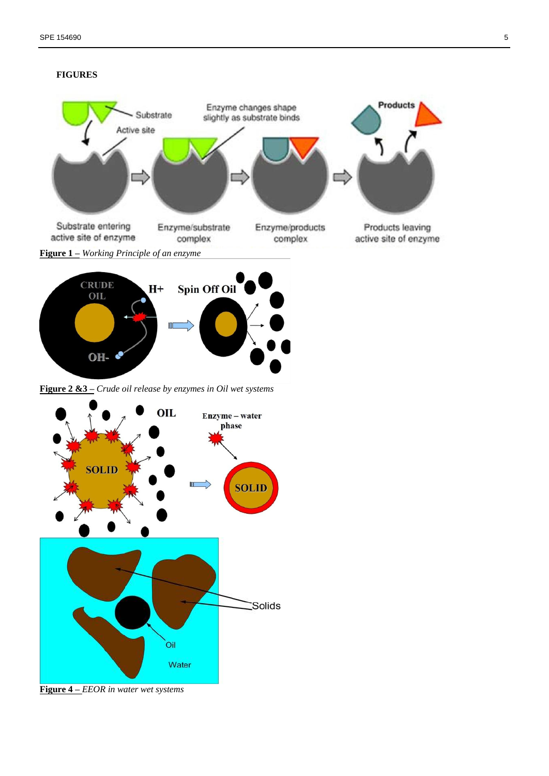





**Figure 2 &3 –** *Crude oil release by enzymes in Oil wet systems*



**Figure 4 –** *EEOR in water wet systems*